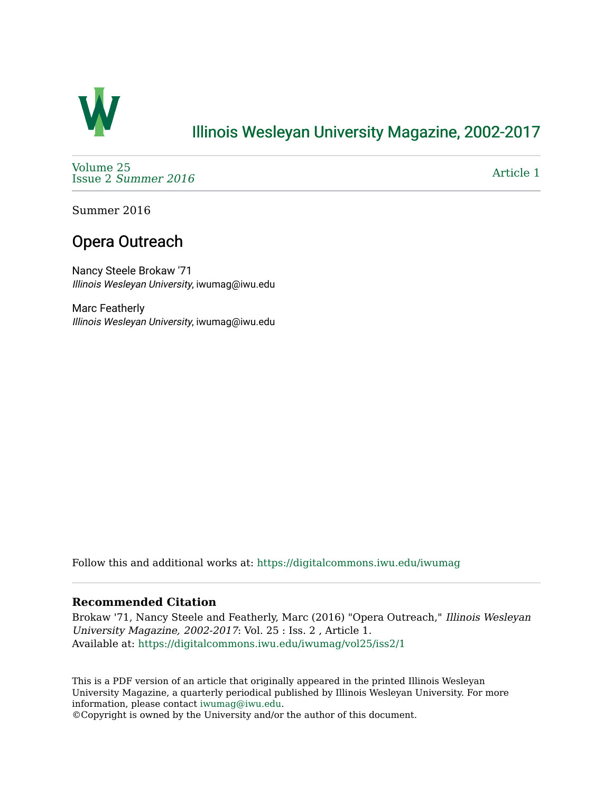

## [Illinois Wesleyan University Magazine, 2002-2017](https://digitalcommons.iwu.edu/iwumag)

[Volume 25](https://digitalcommons.iwu.edu/iwumag/vol25)  Issue 2 [Summer 2016](https://digitalcommons.iwu.edu/iwumag/vol25/iss2) 

[Article 1](https://digitalcommons.iwu.edu/iwumag/vol25/iss2/1) 

Summer 2016

# Opera Outreach

Nancy Steele Brokaw '71 Illinois Wesleyan University, iwumag@iwu.edu

Marc Featherly Illinois Wesleyan University, iwumag@iwu.edu

Follow this and additional works at: [https://digitalcommons.iwu.edu/iwumag](https://digitalcommons.iwu.edu/iwumag?utm_source=digitalcommons.iwu.edu%2Fiwumag%2Fvol25%2Fiss2%2F1&utm_medium=PDF&utm_campaign=PDFCoverPages) 

#### **Recommended Citation**

Brokaw '71, Nancy Steele and Featherly, Marc (2016) "Opera Outreach," Illinois Wesleyan University Magazine, 2002-2017: Vol. 25 : Iss. 2 , Article 1. Available at: [https://digitalcommons.iwu.edu/iwumag/vol25/iss2/1](https://digitalcommons.iwu.edu/iwumag/vol25/iss2/1?utm_source=digitalcommons.iwu.edu%2Fiwumag%2Fvol25%2Fiss2%2F1&utm_medium=PDF&utm_campaign=PDFCoverPages)

This is a PDF version of an article that originally appeared in the printed Illinois Wesleyan University Magazine, a quarterly periodical published by Illinois Wesleyan University. For more information, please contact [iwumag@iwu.edu](mailto:iwumag@iwu.edu).

©Copyright is owned by the University and/or the author of this document.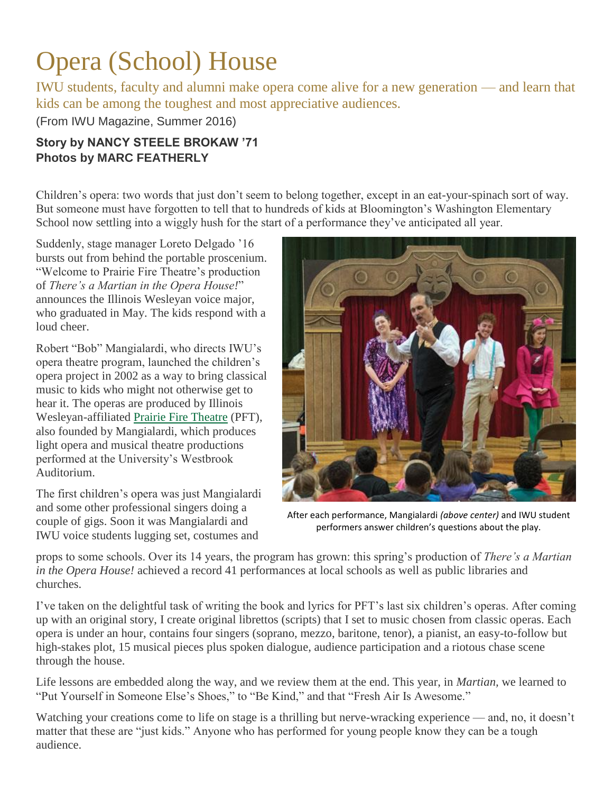# Opera (School) House

IWU students, faculty and alumni make opera come alive for a new generation — and learn that kids can be among the toughest and most appreciative audiences.

(From IWU Magazine, Summer 2016)

## **Story by NANCY STEELE BROKAW '71 Photos by MARC FEATHERLY**

Children's opera: two words that just don't seem to belong together, except in an eat-your-spinach sort of way. But someone must have forgotten to tell that to hundreds of kids at Bloomington's Washington Elementary School now settling into a wiggly hush for the start of a performance they've anticipated all year.

Suddenly, stage manager Loreto Delgado '16 bursts out from behind the portable proscenium. "Welcome to Prairie Fire Theatre's production of *There's a Martian in the Opera House!*" announces the Illinois Wesleyan voice major, who graduated in May. The kids respond with a loud cheer.

Robert "Bob" Mangialardi, who directs IWU's opera theatre program, launched the children's opera project in 2002 as a way to bring classical music to kids who might not otherwise get to hear it. The operas are produced by Illinois Wesleyan-affiliated [Prairie Fire Theatre](http://www.prairiefiretheatre.org/main_page.html) (PFT), also founded by Mangialardi, which produces light opera and musical theatre productions performed at the University's Westbrook Auditorium.

The first children's opera was just Mangialardi and some other professional singers doing a couple of gigs. Soon it was Mangialardi and IWU voice students lugging set, costumes and



After each performance, Mangialardi *(above center)* and IWU student performers answer children's questions about the play.

props to some schools. Over its 14 years, the program has grown: this spring's production of *There's a Martian in the Opera House!* achieved a record 41 performances at local schools as well as public libraries and churches.

I've taken on the delightful task of writing the book and lyrics for PFT's last six children's operas. After coming up with an original story, I create original librettos (scripts) that I set to music chosen from classic operas. Each opera is under an hour, contains four singers (soprano, mezzo, baritone, tenor), a pianist, an easy-to-follow but high-stakes plot, 15 musical pieces plus spoken dialogue, audience participation and a riotous chase scene through the house.

Life lessons are embedded along the way, and we review them at the end. This year, in *Martian,* we learned to "Put Yourself in Someone Else's Shoes," to "Be Kind," and that "Fresh Air Is Awesome."

Watching your creations come to life on stage is a thrilling but nerve-wracking experience — and, no, it doesn't matter that these are "just kids." Anyone who has performed for young people know they can be a tough audience.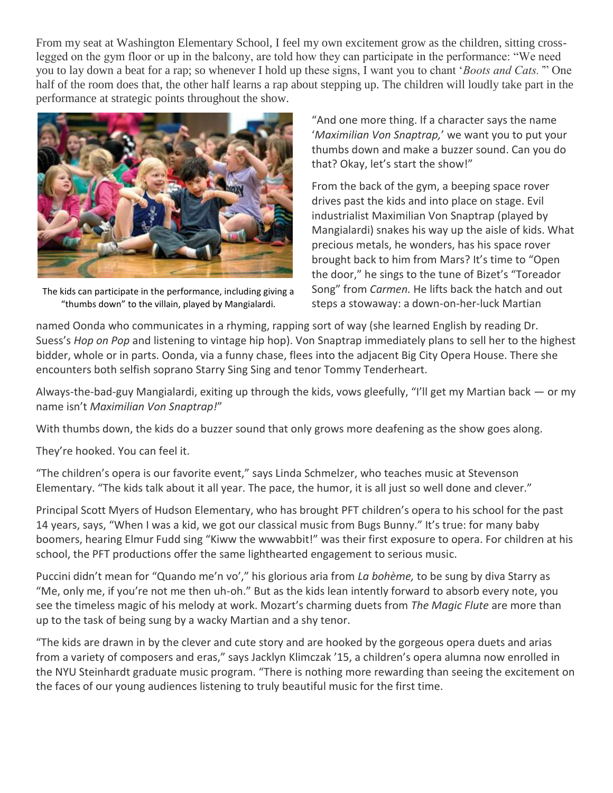From my seat at Washington Elementary School, I feel my own excitement grow as the children, sitting crosslegged on the gym floor or up in the balcony, are told how they can participate in the performance: "We need you to lay down a beat for a rap; so whenever I hold up these signs, I want you to chant '*Boots and Cats.'*" One half of the room does that, the other half learns a rap about stepping up. The children will loudly take part in the performance at strategic points throughout the show.



The kids can participate in the performance, including giving a "thumbs down" to the villain, played by Mangialardi.

"And one more thing. If a character says the name '*Maximilian Von Snaptrap,*' we want you to put your thumbs down and make a buzzer sound. Can you do that? Okay, let's start the show!"

From the back of the gym, a beeping space rover drives past the kids and into place on stage. Evil industrialist Maximilian Von Snaptrap (played by Mangialardi) snakes his way up the aisle of kids. What precious metals, he wonders, has his space rover brought back to him from Mars? It's time to "Open the door," he sings to the tune of Bizet's "Toreador Song" from *Carmen.* He lifts back the hatch and out steps a stowaway: a down-on-her-luck Martian

named Oonda who communicates in a rhyming, rapping sort of way (she learned English by reading Dr. Suess's *Hop on Pop* and listening to vintage hip hop). Von Snaptrap immediately plans to sell her to the highest bidder, whole or in parts. Oonda, via a funny chase, flees into the adjacent Big City Opera House. There she encounters both selfish soprano Starry Sing Sing and tenor Tommy Tenderheart.

Always-the-bad-guy Mangialardi, exiting up through the kids, vows gleefully, "I'll get my Martian back — or my name isn't *Maximilian Von Snaptrap!*"

With thumbs down, the kids do a buzzer sound that only grows more deafening as the show goes along.

They're hooked. You can feel it.

"The children's opera is our favorite event," says Linda Schmelzer, who teaches music at Stevenson Elementary. "The kids talk about it all year. The pace, the humor, it is all just so well done and clever."

Principal Scott Myers of Hudson Elementary, who has brought PFT children's opera to his school for the past 14 years, says, "When I was a kid, we got our classical music from Bugs Bunny." It's true: for many baby boomers, hearing Elmur Fudd sing "Kiww the wwwabbit!" was their first exposure to opera. For children at his school, the PFT productions offer the same lighthearted engagement to serious music.

Puccini didn't mean for "Quando me'n vo'," his glorious aria from *La bohème,* to be sung by diva Starry as "Me, only me, if you're not me then uh-oh." But as the kids lean intently forward to absorb every note, you see the timeless magic of his melody at work. Mozart's charming duets from *The Magic Flute* are more than up to the task of being sung by a wacky Martian and a shy tenor.

"The kids are drawn in by the clever and cute story and are hooked by the gorgeous opera duets and arias from a variety of composers and eras," says Jacklyn Klimczak '15, a children's opera alumna now enrolled in the NYU Steinhardt graduate music program. "There is nothing more rewarding than seeing the excitement on the faces of our young audiences listening to truly beautiful music for the first time.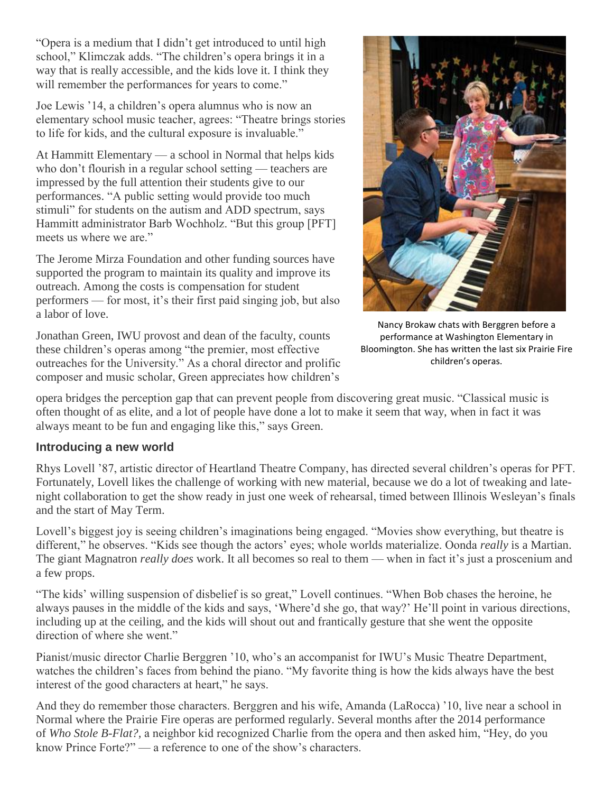"Opera is a medium that I didn't get introduced to until high school," Klimczak adds. "The children's opera brings it in a way that is really accessible, and the kids love it. I think they will remember the performances for years to come."

Joe Lewis '14, a children's opera alumnus who is now an elementary school music teacher, agrees: "Theatre brings stories to life for kids, and the cultural exposure is invaluable."

At Hammitt Elementary — a school in Normal that helps kids who don't flourish in a regular school setting — teachers are impressed by the full attention their students give to our performances. "A public setting would provide too much stimuli" for students on the autism and ADD spectrum, says Hammitt administrator Barb Wochholz. "But this group [PFT] meets us where we are."

The Jerome Mirza Foundation and other funding sources have supported the program to maintain its quality and improve its outreach. Among the costs is compensation for student performers — for most, it's their first paid singing job, but also a labor of love.

Jonathan Green, IWU provost and dean of the faculty, counts these children's operas among "the premier, most effective outreaches for the University." As a choral director and prolific composer and music scholar, Green appreciates how children's



Nancy Brokaw chats with Berggren before a performance at Washington Elementary in Bloomington. She has written the last six Prairie Fire children's operas.

opera bridges the perception gap that can prevent people from discovering great music. "Classical music is often thought of as elite, and a lot of people have done a lot to make it seem that way, when in fact it was always meant to be fun and engaging like this," says Green.

### **Introducing a new world**

Rhys Lovell '87, artistic director of Heartland Theatre Company, has directed several children's operas for PFT. Fortunately, Lovell likes the challenge of working with new material, because we do a lot of tweaking and latenight collaboration to get the show ready in just one week of rehearsal, timed between Illinois Wesleyan's finals and the start of May Term.

Lovell's biggest joy is seeing children's imaginations being engaged. "Movies show everything, but theatre is different," he observes. "Kids see though the actors' eyes; whole worlds materialize. Oonda *really* is a Martian. The giant Magnatron *really does* work. It all becomes so real to them — when in fact it's just a proscenium and a few props.

"The kids' willing suspension of disbelief is so great," Lovell continues. "When Bob chases the heroine, he always pauses in the middle of the kids and says, 'Where'd she go, that way?' He'll point in various directions, including up at the ceiling, and the kids will shout out and frantically gesture that she went the opposite direction of where she went."

Pianist/music director Charlie Berggren '10, who's an accompanist for IWU's Music Theatre Department, watches the children's faces from behind the piano. "My favorite thing is how the kids always have the best interest of the good characters at heart," he says.

And they do remember those characters. Berggren and his wife, Amanda (LaRocca) '10, live near a school in Normal where the Prairie Fire operas are performed regularly. Several months after the 2014 performance of *Who Stole B-Flat?,* a neighbor kid recognized Charlie from the opera and then asked him, "Hey, do you know Prince Forte?" — a reference to one of the show's characters.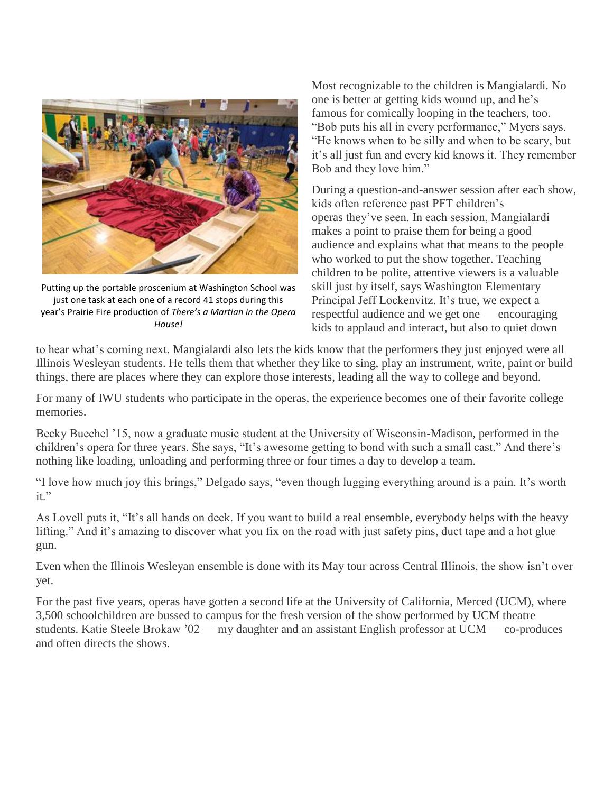

Putting up the portable proscenium at Washington School was just one task at each one of a record 41 stops during this year's Prairie Fire production of *There's a Martian in the Opera House!*

Most recognizable to the children is Mangialardi. No one is better at getting kids wound up, and he's famous for comically looping in the teachers, too. "Bob puts his all in every performance," Myers says. "He knows when to be silly and when to be scary, but it's all just fun and every kid knows it. They remember Bob and they love him."

During a question-and-answer session after each show, kids often reference past PFT children's operas they've seen. In each session, Mangialardi makes a point to praise them for being a good audience and explains what that means to the people who worked to put the show together. Teaching children to be polite, attentive viewers is a valuable skill just by itself, says Washington Elementary Principal Jeff Lockenvitz. It's true, we expect a respectful audience and we get one — encouraging kids to applaud and interact, but also to quiet down

to hear what's coming next. Mangialardi also lets the kids know that the performers they just enjoyed were all Illinois Wesleyan students. He tells them that whether they like to sing, play an instrument, write, paint or build things, there are places where they can explore those interests, leading all the way to college and beyond.

For many of IWU students who participate in the operas, the experience becomes one of their favorite college memories.

Becky Buechel '15, now a graduate music student at the University of Wisconsin-Madison, performed in the children's opera for three years. She says, "It's awesome getting to bond with such a small cast." And there's nothing like loading, unloading and performing three or four times a day to develop a team.

"I love how much joy this brings," Delgado says, "even though lugging everything around is a pain. It's worth it."

As Lovell puts it, "It's all hands on deck. If you want to build a real ensemble, everybody helps with the heavy lifting." And it's amazing to discover what you fix on the road with just safety pins, duct tape and a hot glue gun.

Even when the Illinois Wesleyan ensemble is done with its May tour across Central Illinois, the show isn't over yet.

For the past five years, operas have gotten a second life at the University of California, Merced (UCM), where 3,500 schoolchildren are bussed to campus for the fresh version of the show performed by UCM theatre students. Katie Steele Brokaw '02 — my daughter and an assistant English professor at UCM — co-produces and often directs the shows.